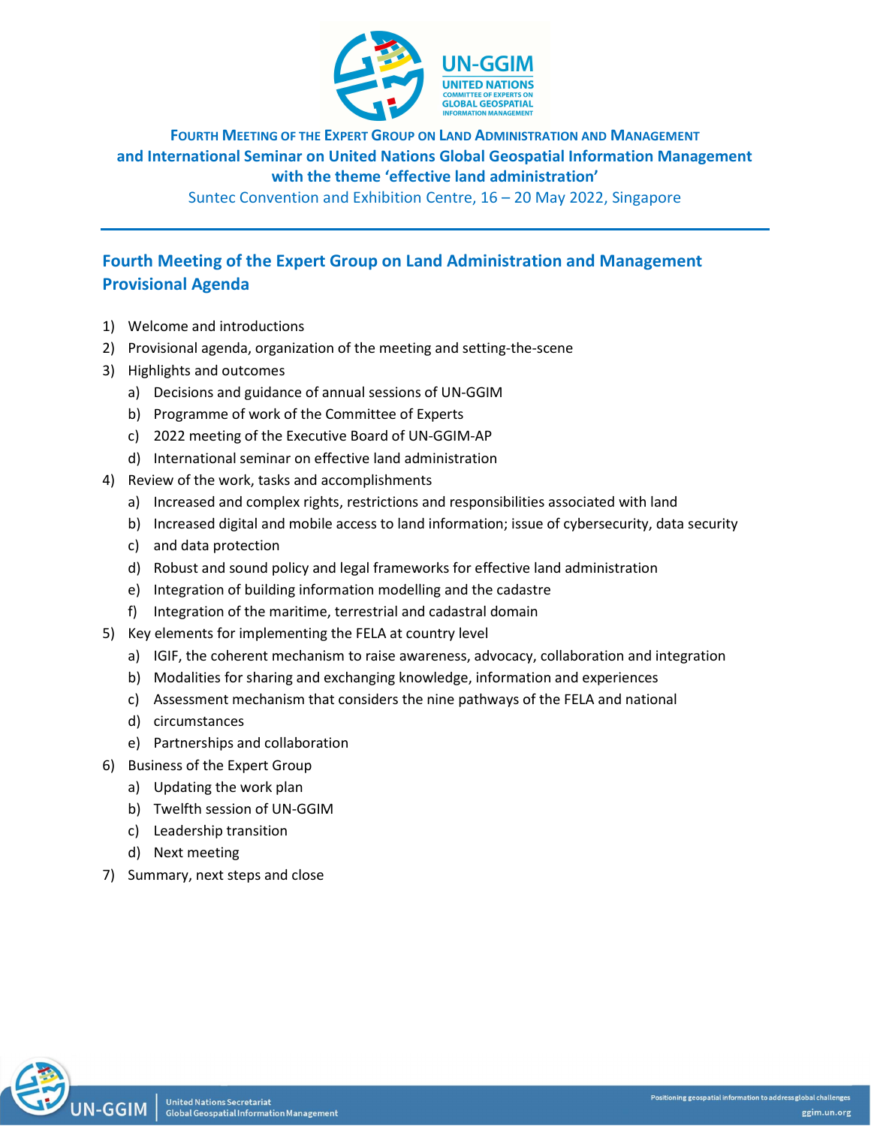

FOURTH MEETING OF THE EXPERT GROUP ON LAND ADMINISTRATION AND MANAGEMENT and International Seminar on United Nations Global Geospatial Information Management with the theme 'effective land administration'

Suntec Convention and Exhibition Centre, 16 – 20 May 2022, Singapore

# Fourth Meeting of the Expert Group on Land Administration and Management Provisional Agenda

- 1) Welcome and introductions
- 2) Provisional agenda, organization of the meeting and setting-the-scene
- 3) Highlights and outcomes
	- a) Decisions and guidance of annual sessions of UN-GGIM
	- b) Programme of work of the Committee of Experts
	- c) 2022 meeting of the Executive Board of UN-GGIM-AP
	- d) International seminar on effective land administration
- 4) Review of the work, tasks and accomplishments
	- a) Increased and complex rights, restrictions and responsibilities associated with land
	- b) Increased digital and mobile access to land information; issue of cybersecurity, data security
	- c) and data protection
	- d) Robust and sound policy and legal frameworks for effective land administration
	- e) Integration of building information modelling and the cadastre
	- f) Integration of the maritime, terrestrial and cadastral domain
- 5) Key elements for implementing the FELA at country level
	- a) IGIF, the coherent mechanism to raise awareness, advocacy, collaboration and integration
	- b) Modalities for sharing and exchanging knowledge, information and experiences
	- c) Assessment mechanism that considers the nine pathways of the FELA and national
	- d) circumstances
	- e) Partnerships and collaboration
- 6) Business of the Expert Group
	- a) Updating the work plan
	- b) Twelfth session of UN-GGIM
	- c) Leadership transition
	- d) Next meeting
- 7) Summary, next steps and close

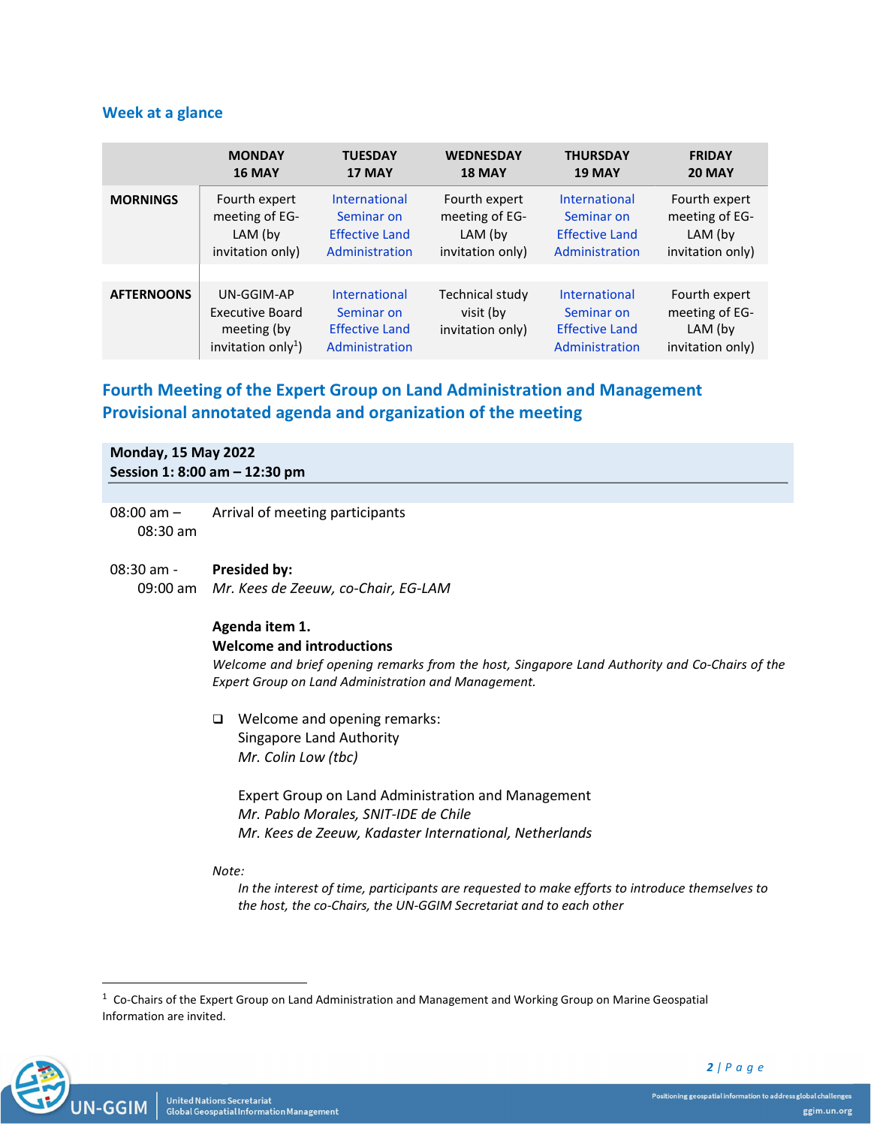# Week at a glance

|                   | <b>MONDAY</b>                                                                  | <b>TUESDAY</b>                                                                | <b>WEDNESDAY</b>                                 | <b>THURSDAY</b>                                                               | <b>FRIDAY</b>                                                  |
|-------------------|--------------------------------------------------------------------------------|-------------------------------------------------------------------------------|--------------------------------------------------|-------------------------------------------------------------------------------|----------------------------------------------------------------|
|                   | <b>16 MAY</b>                                                                  | 17 MAY                                                                        | 18 MAY                                           | <b>19 MAY</b>                                                                 | <b>20 MAY</b>                                                  |
| <b>MORNINGS</b>   | Fourth expert                                                                  | <b>International</b>                                                          | Fourth expert                                    | <b>International</b>                                                          | Fourth expert                                                  |
|                   | meeting of EG-                                                                 | Seminar on                                                                    | meeting of EG-                                   | Seminar on                                                                    | meeting of EG-                                                 |
|                   | LAM (by                                                                        | <b>Effective Land</b>                                                         | LAM (by                                          | <b>Effective Land</b>                                                         | LAM (by                                                        |
|                   | invitation only)                                                               | Administration                                                                | invitation only)                                 | Administration                                                                | invitation only)                                               |
|                   |                                                                                |                                                                               |                                                  |                                                                               |                                                                |
| <b>AFTERNOONS</b> | UN-GGIM-AP<br>Executive Board<br>meeting (by<br>invitation only <sup>1</sup> ) | <b>International</b><br>Seminar on<br><b>Effective Land</b><br>Administration | Technical study<br>visit (by<br>invitation only) | <b>International</b><br>Seminar on<br><b>Effective Land</b><br>Administration | Fourth expert<br>meeting of EG-<br>LAM (by<br>invitation only) |

# Fourth Meeting of the Expert Group on Land Administration and Management Provisional annotated agenda and organization of the meeting

Monday, 15 May 2022 Session 1: 8:00 am – 12:30 pm

- 08:00 am 08:30 am Arrival of meeting participants
- 08:30 am 09:00 am Mr. Kees de Zeeuw, co-Chair, EG-LAM Presided by:

# Agenda item 1.

### Welcome and introductions

Welcome and brief opening remarks from the host, Singapore Land Authority and Co-Chairs of the Expert Group on Land Administration and Management.

□ Welcome and opening remarks: Singapore Land Authority Mr. Colin Low (tbc)

> Expert Group on Land Administration and Management Mr. Pablo Morales, SNIT-IDE de Chile Mr. Kees de Zeeuw, Kadaster International, Netherlands

Note:

In the interest of time, participants are requested to make efforts to introduce themselves to the host, the co-Chairs, the UN-GGIM Secretariat and to each other

 $1$  Co-Chairs of the Expert Group on Land Administration and Management and Working Group on Marine Geospatial Information are invited.

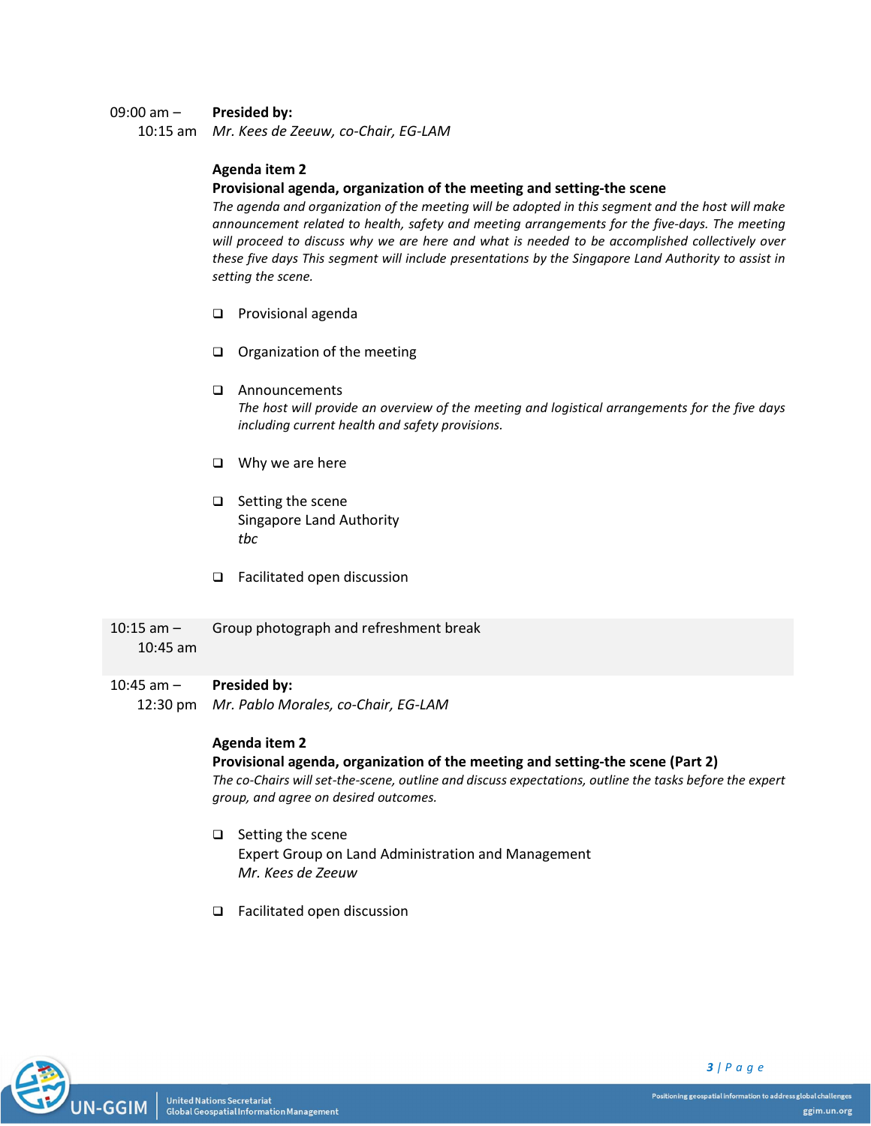#### 09:00 am – Presided by:

10:15 am Mr. Kees de Zeeuw, co-Chair, EG-LAM

# Agenda item 2

# Provisional agenda, organization of the meeting and setting-the scene

The agenda and organization of the meeting will be adopted in this segment and the host will make announcement related to health, safety and meeting arrangements for the five-days. The meeting will proceed to discuss why we are here and what is needed to be accomplished collectively over these five days This segment will include presentations by the Singapore Land Authority to assist in setting the scene.

- **Q** Provisional agenda
- Organization of the meeting
- Announcements

The host will provide an overview of the meeting and logistical arrangements for the five days including current health and safety provisions.

- $\Box$  Why we are here
- $\Box$  Setting the scene Singapore Land Authority tbc
- □ Facilitated open discussion
- $10:15$  am  $-$ Group photograph and refreshment break

# 10:45 am

#### 10:45 am – Presided by:

12:30 pm Mr. Pablo Morales, co-Chair, EG-LAM

# Agenda item 2

# Provisional agenda, organization of the meeting and setting-the scene (Part 2)

The co-Chairs will set-the-scene, outline and discuss expectations, outline the tasks before the expert group, and agree on desired outcomes.

- $\Box$  Setting the scene Expert Group on Land Administration and Management Mr. Kees de Zeeuw
- □ Facilitated open discussion



 $3$  | P a g e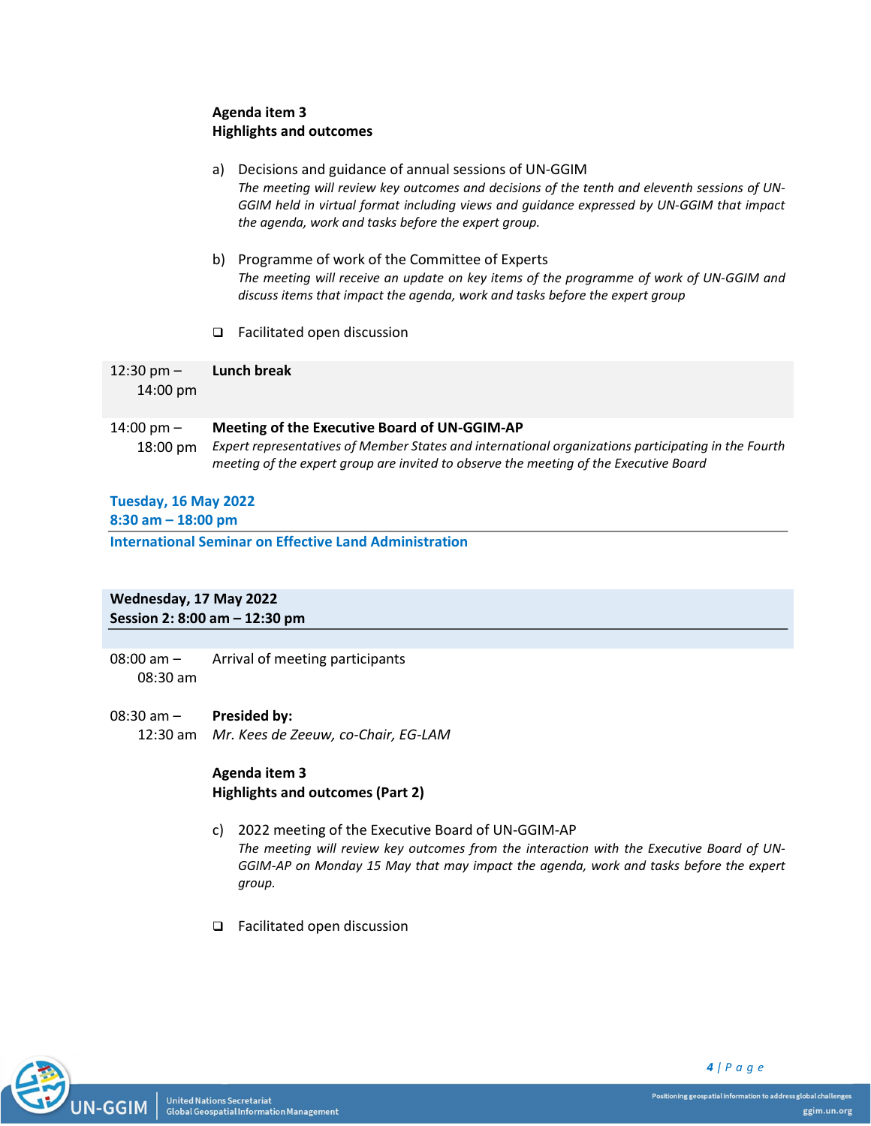# Agenda item 3 Highlights and outcomes

- a) Decisions and guidance of annual sessions of UN-GGIM The meeting will review key outcomes and decisions of the tenth and eleventh sessions of UN-GGIM held in virtual format including views and guidance expressed by UN-GGIM that impact the agenda, work and tasks before the expert group.
- b) Programme of work of the Committee of Experts The meeting will receive an update on key items of the programme of work of UN-GGIM and discuss items that impact the agenda, work and tasks before the expert group
- □ Facilitated open discussion

 $12:30$  pm  $-$ 14:00 pm Lunch break

#### 14:00 pm – Meeting of the Executive Board of UN-GGIM-AP

18:00 pm Expert representatives of Member States and international organizations participating in the Fourth meeting of the expert group are invited to observe the meeting of the Executive Board

# Tuesday, 16 May 2022

8:30 am – 18:00 pm

International Seminar on Effective Land Administration

# Wednesday, 17 May 2022 Session 2: 8:00 am – 12:30 pm

08:00 am – 08:30 am Arrival of meeting participants

#### 08:30 am – Presided by:

12:30 am Mr. Kees de Zeeuw, co-Chair, EG-LAM

# Agenda item 3 Highlights and outcomes (Part 2)

- c) 2022 meeting of the Executive Board of UN-GGIM-AP The meeting will review key outcomes from the interaction with the Executive Board of UN-GGIM-AP on Monday 15 May that may impact the agenda, work and tasks before the expert group.
- □ Facilitated open discussion

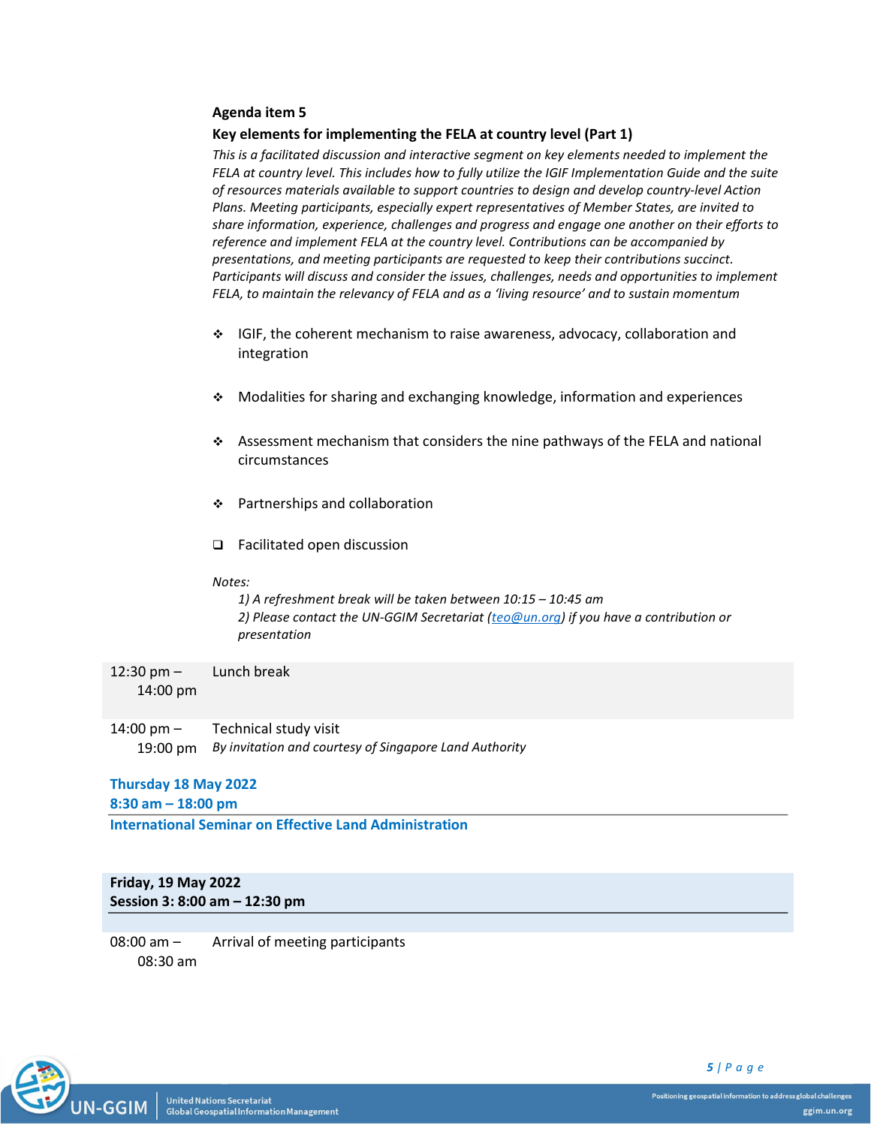### Agenda item 5

#### Key elements for implementing the FELA at country level (Part 1)

This is a facilitated discussion and interactive segment on key elements needed to implement the FELA at country level. This includes how to fully utilize the IGIF Implementation Guide and the suite of resources materials available to support countries to design and develop country-level Action Plans. Meeting participants, especially expert representatives of Member States, are invited to share information, experience, challenges and progress and engage one another on their efforts to reference and implement FELA at the country level. Contributions can be accompanied by presentations, and meeting participants are requested to keep their contributions succinct. Participants will discuss and consider the issues, challenges, needs and opportunities to implement FELA, to maintain the relevancy of FELA and as a 'living resource' and to sustain momentum

- $\div$  IGIF, the coherent mechanism to raise awareness, advocacy, collaboration and integration
- Modalities for sharing and exchanging knowledge, information and experiences
- Assessment mechanism that considers the nine pathways of the FELA and national circumstances
- Partnerships and collaboration
- Facilitated open discussion

#### Notes:

1) A refreshment break will be taken between 10:15 – 10:45 am 2) Please contact the UN-GGIM Secretariat (teo@un.org) if you have a contribution or presentation

12:30 pm – 14:00 pm Lunch break

14:00 pm – 19:00 pm By invitation and courtesy of Singapore Land Authority Technical study visit

### Thursday 18 May 2022

8:30 am – 18:00 pm

International Seminar on Effective Land Administration

# Friday, 19 May 2022 Session 3: 8:00 am – 12:30 pm

08:00 am – 08:30 am Arrival of meeting participants

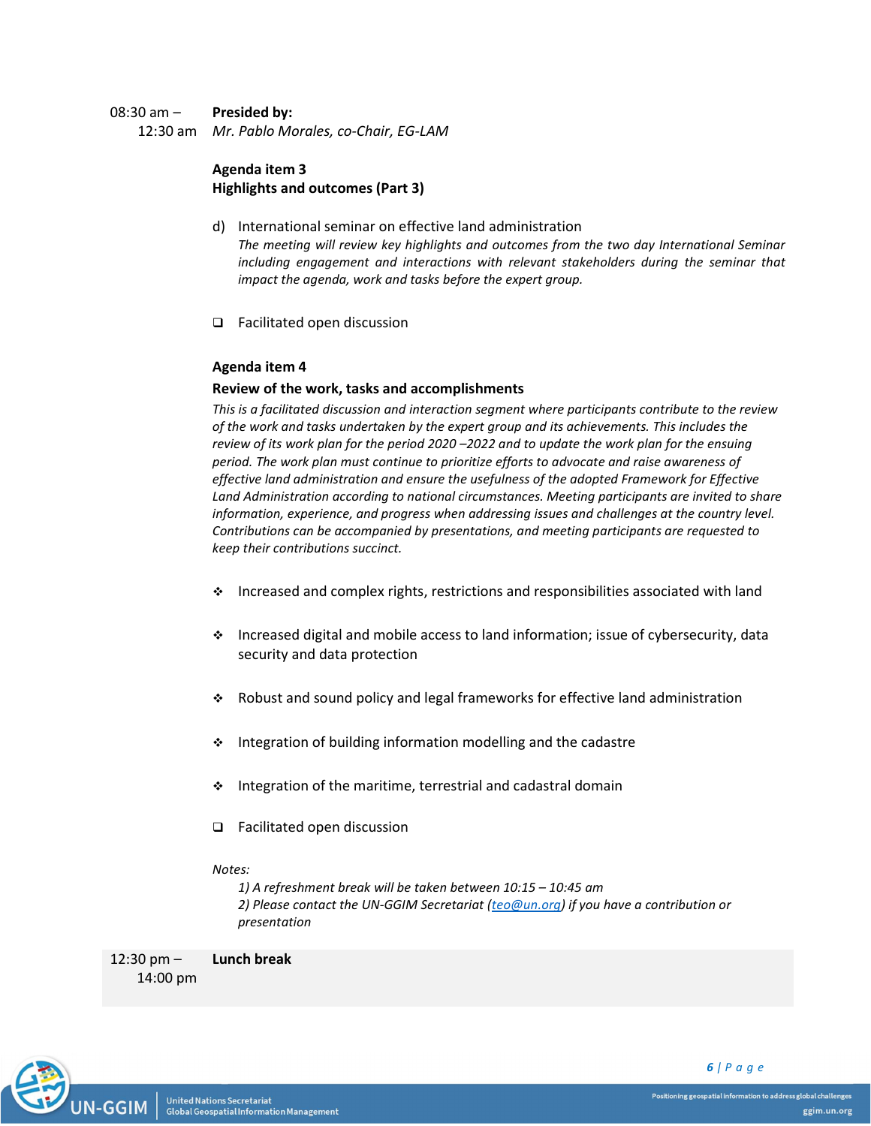#### 08:30 am – Presided by:

12:30 am Mr. Pablo Morales, co-Chair, EG-LAM

# Agenda item 3 Highlights and outcomes (Part 3)

- d) International seminar on effective land administration The meeting will review key highlights and outcomes from the two day International Seminar including engagement and interactions with relevant stakeholders during the seminar that impact the agenda, work and tasks before the expert group.
- □ Facilitated open discussion

## Agenda item 4

### Review of the work, tasks and accomplishments

This is a facilitated discussion and interaction segment where participants contribute to the review of the work and tasks undertaken by the expert group and its achievements. This includes the review of its work plan for the period 2020 –2022 and to update the work plan for the ensuing period. The work plan must continue to prioritize efforts to advocate and raise awareness of effective land administration and ensure the usefulness of the adopted Framework for Effective Land Administration according to national circumstances. Meeting participants are invited to share information, experience, and progress when addressing issues and challenges at the country level. Contributions can be accompanied by presentations, and meeting participants are requested to keep their contributions succinct.

- $\cdot$  Increased and complex rights, restrictions and responsibilities associated with land
- $\cdot$  Increased digital and mobile access to land information; issue of cybersecurity, data security and data protection
- Robust and sound policy and legal frameworks for effective land administration
- $\cdot$  Integration of building information modelling and the cadastre
- $\cdot$  Integration of the maritime, terrestrial and cadastral domain
- Facilitated open discussion

#### Notes:

1) A refreshment break will be taken between 10:15 – 10:45 am 2) Please contact the UN-GGIM Secretariat (teo@un.org) if you have a contribution or presentation

12:30 pm – Lunch break

**United Nations Secretariat** 

Global Geospatial Information Management

14:00 pm



6 | P a g e

Positioning geospatial information to address global challenges ggim.un.org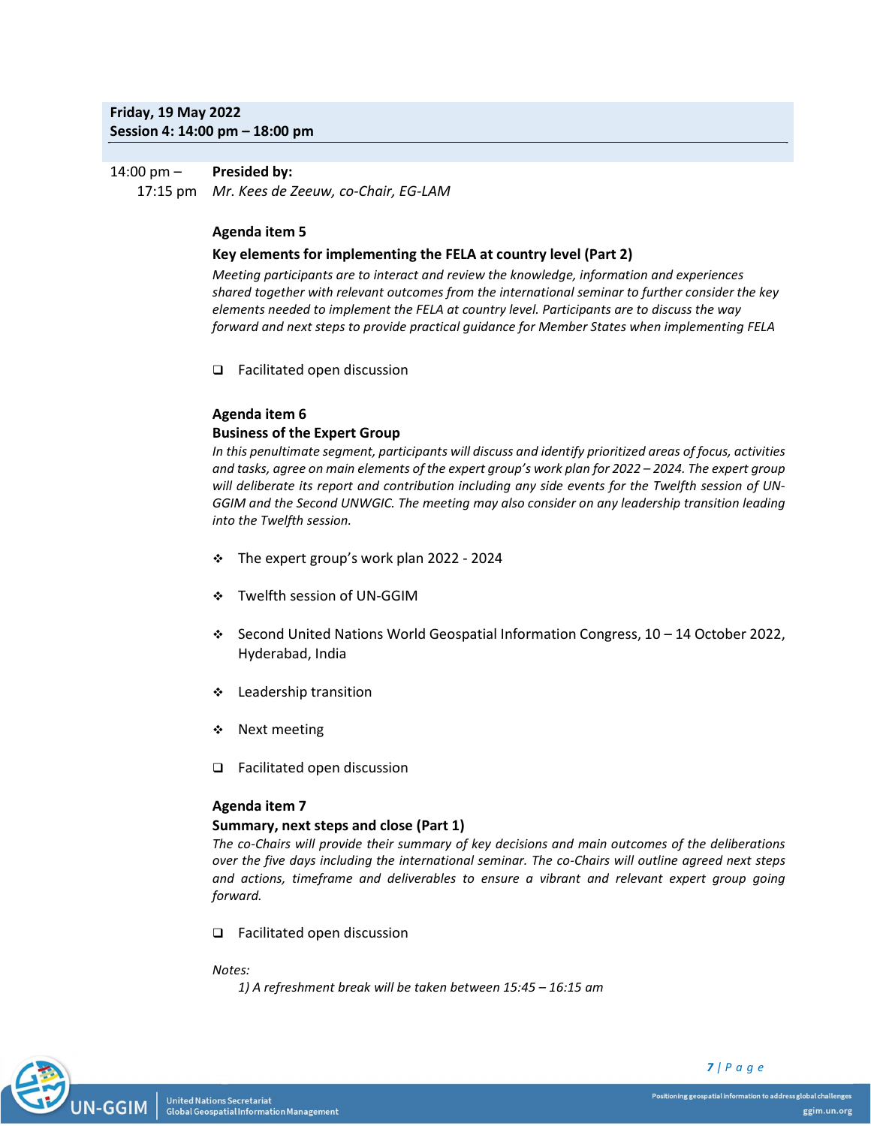# Friday, 19 May 2022 Session 4: 14:00 pm – 18:00 pm

#### 14:00 pm – 17:15 pm Mr. Kees de Zeeuw, co-Chair, EG-LAM Presided by:

# Agenda item 5

## Key elements for implementing the FELA at country level (Part 2)

Meeting participants are to interact and review the knowledge, information and experiences shared together with relevant outcomes from the international seminar to further consider the key elements needed to implement the FELA at country level. Participants are to discuss the way forward and next steps to provide practical guidance for Member States when implementing FELA

□ Facilitated open discussion

# Agenda item 6

# Business of the Expert Group

In this penultimate segment, participants will discuss and identify prioritized areas of focus, activities and tasks, agree on main elements of the expert group's work plan for 2022 – 2024. The expert group will deliberate its report and contribution including any side events for the Twelfth session of UN-GGIM and the Second UNWGIC. The meeting may also consider on any leadership transition leading into the Twelfth session.

- The expert group's work plan 2022 2024
- Twelfth session of UN-GGIM
- $\div$  Second United Nations World Geospatial Information Congress, 10 14 October 2022, Hyderabad, India
- Leadership transition
- ❖ Next meeting
- □ Facilitated open discussion

# Agenda item 7

# Summary, next steps and close (Part 1)

The co-Chairs will provide their summary of key decisions and main outcomes of the deliberations over the five days including the international seminar. The co-Chairs will outline agreed next steps and actions, timeframe and deliverables to ensure a vibrant and relevant expert group going forward.

□ Facilitated open discussion

## Notes:

1) A refreshment break will be taken between 15:45 – 16:15 am